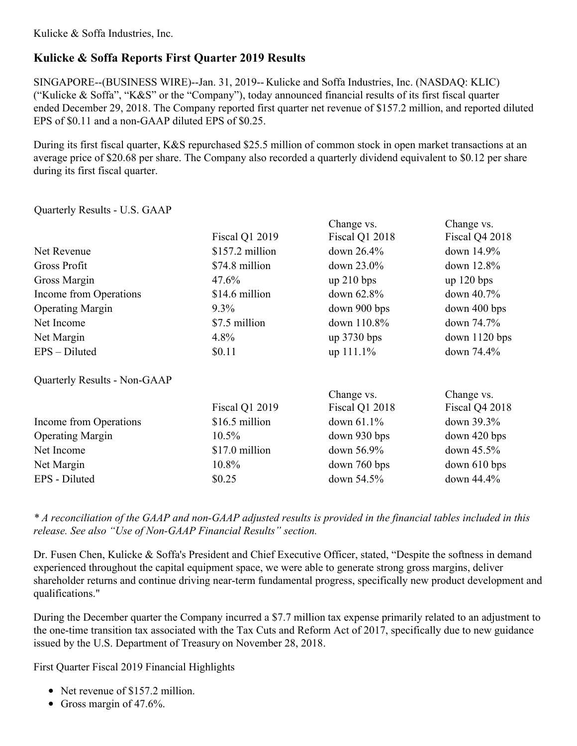Kulicke & Soffa Industries, Inc.

# **Kulicke & Soffa Reports First Quarter 2019 Results**

SINGAPORE--(BUSINESS WIRE)--Jan. 31, 2019-- Kulicke and Soffa Industries, Inc. (NASDAQ: KLIC) ("Kulicke & Soffa", "K&S" or the "Company"), today announced financial results of its first fiscal quarter ended December 29, 2018. The Company reported first quarter net revenue of \$157.2 million, and reported diluted EPS of \$0.11 and a non-GAAP diluted EPS of \$0.25.

During its first fiscal quarter, K&S repurchased \$25.5 million of common stock in open market transactions at an average price of \$20.68 per share. The Company also recorded a quarterly dividend equivalent to \$0.12 per share during its first fiscal quarter.

Quarterly Results - U.S. GAAP

|                              |                       | Change vs.     | Change vs.            |
|------------------------------|-----------------------|----------------|-----------------------|
|                              | <b>Fiscal Q1 2019</b> | Fiscal Q1 2018 | <b>Fiscal Q4 2018</b> |
| Net Revenue                  | \$157.2 million       | down 26.4%     | down 14.9%            |
| <b>Gross Profit</b>          | \$74.8 million        | down 23.0%     | down 12.8%            |
| Gross Margin                 | 47.6%                 | $up$ 210 bps   | $up$ 120 bps          |
| Income from Operations       | \$14.6 million        | down 62.8%     | down 40.7%            |
| <b>Operating Margin</b>      | $9.3\%$               | down 900 bps   | down 400 bps          |
| Net Income                   | \$7.5 million         | down 110.8%    | down 74.7%            |
| Net Margin                   | 4.8%                  | $up$ 3730 bps  | $down$ 1120 bps       |
| $EPS - Diluted$              | \$0.11                | $up$ 111.1%    | down 74.4%            |
| Quarterly Results - Non-GAAP |                       |                |                       |
|                              |                       | Change vs.     | Change vs.            |
|                              | <b>Fiscal Q1 2019</b> | Fiscal Q1 2018 | <b>Fiscal Q4 2018</b> |
| Income from Operations       | \$16.5 million        | down $61.1\%$  | down 39.3%            |
| <b>Operating Margin</b>      | $10.5\%$              | down 930 bps   | down 420 bps          |
| Net Income                   | \$17.0 million        | down 56.9%     | down $45.5\%$         |
| Net Margin                   | 10.8%                 | down 760 bps   | down 610 bps          |
| EPS - Diluted                | \$0.25                | down 54.5%     | down 44.4%            |

\* A reconciliation of the GAAP and non-GAAP adjusted results is provided in the financial tables included in this *release. See also "Use of Non-GAAP Financial Results" section.*

Dr. Fusen Chen, Kulicke & Soffa's President and Chief Executive Officer, stated, "Despite the softness in demand experienced throughout the capital equipment space, we were able to generate strong gross margins, deliver shareholder returns and continue driving near-term fundamental progress, specifically new product development and qualifications."

During the December quarter the Company incurred a \$7.7 million tax expense primarily related to an adjustment to the one-time transition tax associated with the Tax Cuts and Reform Act of 2017, specifically due to new guidance issued by the U.S. Department of Treasury on November 28, 2018.

First Quarter Fiscal 2019 Financial Highlights

- Net revenue of \$157.2 million.
- Gross margin of  $47.6\%$ .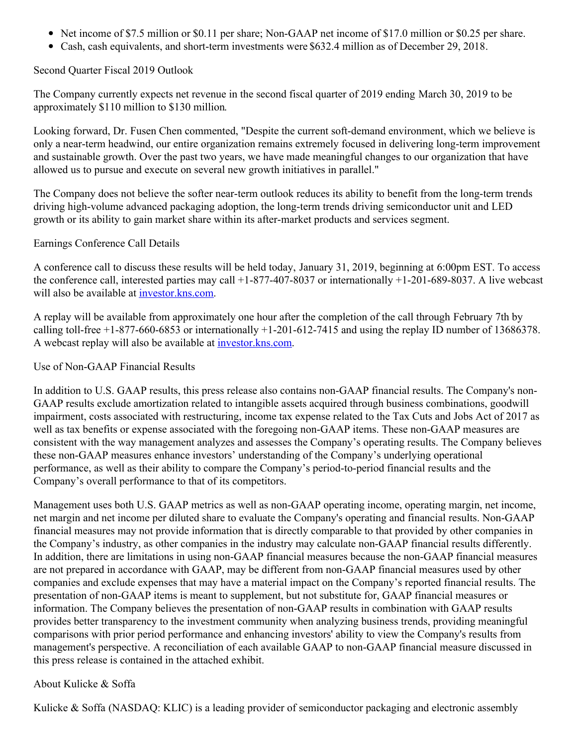- Net income of \$7.5 million or \$0.11 per share; Non-GAAP net income of \$17.0 million or \$0.25 per share.
- Cash, cash equivalents, and short-term investments were \$632.4 million as of December 29, 2018.

### Second Quarter Fiscal 2019 Outlook

The Company currently expects net revenue in the second fiscal quarter of 2019 ending March 30, 2019 to be approximately \$110 million to \$130 million.

Looking forward, Dr. Fusen Chen commented, "Despite the current soft-demand environment, which we believe is only a near-term headwind, our entire organization remains extremely focused in delivering long-term improvement and sustainable growth. Over the past two years, we have made meaningful changes to our organization that have allowed us to pursue and execute on several new growth initiatives in parallel."

The Company does not believe the softer near-term outlook reduces its ability to benefit from the long-term trends driving high-volume advanced packaging adoption, the long-term trends driving semiconductor unit and LED growth or its ability to gain market share within its after-market products and services segment.

#### Earnings Conference Call Details

A conference call to discuss these results will be held today, January 31, 2019, beginning at 6:00pm EST. To access the conference call, interested parties may call +1-877-407-8037 or internationally +1-201-689-8037. A live webcast will also be available at [investor.kns.com](https://cts.businesswire.com/ct/CT?id=smartlink&url=http%3A%2F%2Finvestor.kns.com&esheet=51933876&newsitemid=20190131005931&lan=en-US&anchor=investor.kns.com&index=1&md5=75d9e30d79cbb610ca596f214bc846ed).

A replay will be available from approximately one hour after the completion of the call through February 7th by calling toll-free  $+1-877-660-6853$  or internationally  $+1-201-612-7415$  and using the replay ID number of 13686378. A webcast replay will also be available at [investor.kns.com.](https://cts.businesswire.com/ct/CT?id=smartlink&url=http%3A%2F%2Finvestor.kns.com&esheet=51933876&newsitemid=20190131005931&lan=en-US&anchor=investor.kns.com&index=2&md5=a405ab64f0f6d1a866ca589607d1c66f)

### Use of Non-GAAP Financial Results

In addition to U.S. GAAP results, this press release also contains non-GAAP financial results. The Company's non-GAAP results exclude amortization related to intangible assets acquired through business combinations, goodwill impairment, costs associated with restructuring, income tax expense related to the Tax Cuts and Jobs Act of 2017 as well as tax benefits or expense associated with the foregoing non-GAAP items. These non-GAAP measures are consistent with the way management analyzes and assesses the Company's operating results. The Company believes these non-GAAP measures enhance investors' understanding of the Company's underlying operational performance, as well as their ability to compare the Company's period-to-period financial results and the Company's overall performance to that of its competitors.

Management uses both U.S. GAAP metrics as well as non-GAAP operating income, operating margin, net income, net margin and net income per diluted share to evaluate the Company's operating and financial results. Non-GAAP financial measures may not provide information that is directly comparable to that provided by other companies in the Company's industry, as other companies in the industry may calculate non-GAAP financial results differently. In addition, there are limitations in using non-GAAP financial measures because the non-GAAP financial measures are not prepared in accordance with GAAP, may be different from non-GAAP financial measures used by other companies and exclude expenses that may have a material impact on the Company's reported financial results. The presentation of non-GAAP items is meant to supplement, but not substitute for, GAAP financial measures or information. The Company believes the presentation of non-GAAP results in combination with GAAP results provides better transparency to the investment community when analyzing business trends, providing meaningful comparisons with prior period performance and enhancing investors' ability to view the Company's results from management's perspective. A reconciliation of each available GAAP to non-GAAP financial measure discussed in this press release is contained in the attached exhibit.

## About Kulicke & Soffa

Kulicke & Soffa (NASDAQ: KLIC) is a leading provider of semiconductor packaging and electronic assembly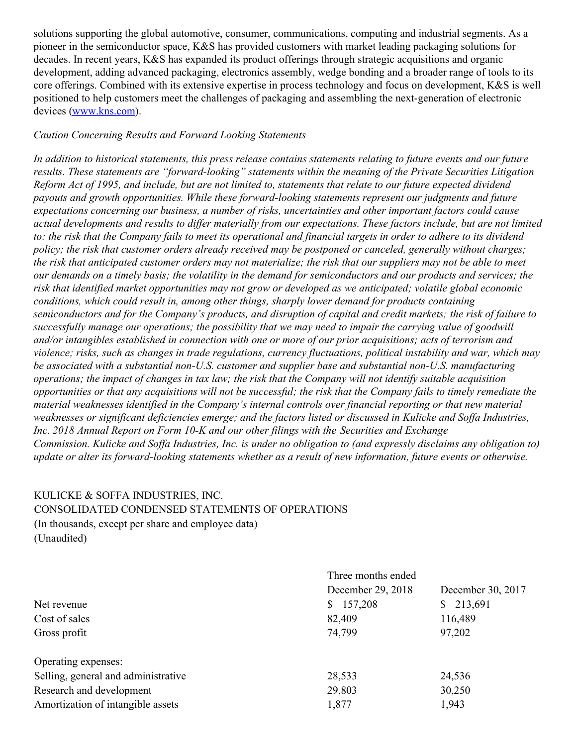solutions supporting the global automotive, consumer, communications, computing and industrial segments. As a pioneer in the semiconductor space, K&S has provided customers with market leading packaging solutions for decades. In recent years, K&S has expanded its product offerings through strategic acquisitions and organic development, adding advanced packaging, electronics assembly, wedge bonding and a broader range of tools to its core offerings. Combined with its extensive expertise in process technology and focus on development, K&S is well positioned to help customers meet the challenges of packaging and assembling the next-generation of electronic devices [\(www.kns.com](https://cts.businesswire.com/ct/CT?id=smartlink&url=http%3A%2F%2Fwww.kns.com&esheet=51933876&newsitemid=20190131005931&lan=en-US&anchor=www.kns.com&index=3&md5=daaca286731072ea2e76bcf7e8b62275)).

#### *Caution Concerning Results and Forward Looking Statements*

In addition to historical statements, this press release contains statements relating to future events and our future *results. These statements are "forward-looking" statements within the meaning of the Private Securities Litigation* Reform Act of 1995, and include, but are not limited to, statements that relate to our future expected dividend *payouts and growth opportunities. While these forward-looking statements represent our judgments and future expectations concerning our business, a number of risks, uncertainties and other important factors could cause* actual developments and results to differ materially from our expectations. These factors include, but are not limited to: the risk that the Company fails to meet its operational and financial targets in order to adhere to its dividend *policy; the risk that customer orders already received may be postponed or canceled, generally without charges;* the risk that anticipated customer orders may not materialize; the risk that our suppliers may not be able to meet our demands on a timely basis; the volatility in the demand for semiconductors and our products and services; the *risk that identified market opportunities may not grow or developed as we anticipated; volatile global economic conditions, which could result in, among other things, sharply lower demand for products containing* semiconductors and for the Company's products, and disruption of capital and credit markets; the risk of failure to successfully manage our operations; the possibility that we may need to impair the carrying value of goodwill and/or intangibles established in connection with one or more of our prior acquisitions; acts of terrorism and violence; risks, such as changes in trade regulations, currency fluctuations, political instability and war, which may *be associated with a substantial non-U.S. customer and supplier base and substantial non-U.S. manufacturing* operations; the impact of changes in tax law; the risk that the Company will not identify suitable acquisition opportunities or that any acquisitions will not be successful; the risk that the Company fails to timely remediate the *material weaknesses identified in the Company's internal controls over financial reporting or that new material* weaknesses or significant deficiencies emerge; and the factors listed or discussed in Kulicke and Soffa Industries, *Inc. 2018 Annual Report on Form 10-K and our other filings with the Securities and Exchange* Commission. Kulicke and Soffa Industries, Inc. is under no obligation to (and expressly disclaims any obligation to) update or alter its forward-looking statements whether as a result of new information, future events or otherwise.

#### KULICKE & SOFFA INDUSTRIES, INC. CONSOLIDATED CONDENSED STATEMENTS OF OPERATIONS

(In thousands, except per share and employee data) (Unaudited)

|                                     | Three months ended |                   |  |  |
|-------------------------------------|--------------------|-------------------|--|--|
|                                     | December 29, 2018  | December 30, 2017 |  |  |
| Net revenue                         | 157,208<br>S.      | \$213,691         |  |  |
| Cost of sales                       | 82,409             | 116,489           |  |  |
| Gross profit                        | 74,799             | 97,202            |  |  |
| Operating expenses:                 |                    |                   |  |  |
| Selling, general and administrative | 28,533             | 24,536            |  |  |
| Research and development            | 29,803             | 30,250            |  |  |
| Amortization of intangible assets   | 1,877              | 1,943             |  |  |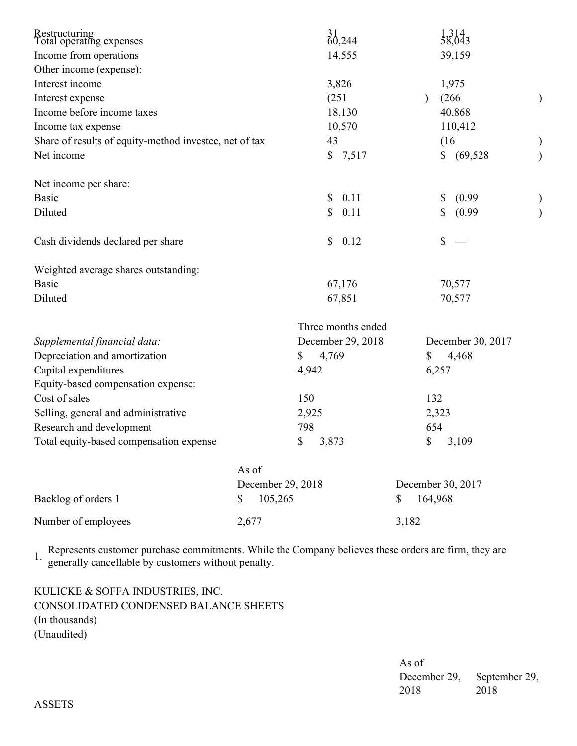| Restructuring<br>Total operating expenses              |                   |              | $\frac{31}{60,244}$ |       |                   | 1,314<br>58,043   |  |
|--------------------------------------------------------|-------------------|--------------|---------------------|-------|-------------------|-------------------|--|
| Income from operations                                 |                   |              | 14,555              |       |                   | 39,159            |  |
| Other income (expense):                                |                   |              |                     |       |                   |                   |  |
| Interest income                                        |                   |              | 3,826               |       |                   | 1,975             |  |
| Interest expense                                       |                   | (251)        |                     |       | (266)             |                   |  |
| Income before income taxes                             |                   |              | 18,130              |       | 40,868            |                   |  |
| Income tax expense                                     |                   |              | 10,570              |       |                   | 110,412           |  |
| Share of results of equity-method investee, net of tax |                   | 43           |                     |       | (16)              |                   |  |
| Net income                                             |                   | $\mathbb{S}$ | 7,517               |       |                   | \$ (69,528)       |  |
| Net income per share:                                  |                   |              |                     |       |                   |                   |  |
| <b>Basic</b>                                           |                   | $\mathbb{S}$ | 0.11                |       | \$                | (0.99)            |  |
| Diluted                                                |                   | $\mathbb{S}$ | 0.11                |       | \$                | (0.99)            |  |
| Cash dividends declared per share                      |                   | \$           | 0.12                |       | \$                |                   |  |
| Weighted average shares outstanding:                   |                   |              |                     |       |                   |                   |  |
| <b>Basic</b>                                           |                   |              | 67,176              |       |                   | 70,577            |  |
| Diluted                                                |                   |              | 67,851              |       |                   | 70,577            |  |
|                                                        |                   |              | Three months ended  |       |                   |                   |  |
| Supplemental financial data:                           |                   |              | December 29, 2018   |       |                   | December 30, 2017 |  |
| Depreciation and amortization                          |                   | \$<br>4,769  |                     |       | \$                | 4,468             |  |
| Capital expenditures                                   |                   | 4,942        |                     |       | 6,257             |                   |  |
| Equity-based compensation expense:                     |                   |              |                     |       |                   |                   |  |
| Cost of sales                                          |                   | 150          |                     |       | 132               |                   |  |
| Selling, general and administrative                    |                   | 2,925        |                     |       | 2,323             |                   |  |
| Research and development                               |                   | 798          |                     |       | 654               |                   |  |
| Total equity-based compensation expense                |                   | \$<br>3,873  |                     |       | \$                | 3,109             |  |
|                                                        | As of             |              |                     |       |                   |                   |  |
|                                                        | December 29, 2018 |              |                     |       | December 30, 2017 |                   |  |
| Backlog of orders 1                                    | 105,265<br>\$     |              |                     | \$    | 164,968           |                   |  |
| Number of employees                                    | 2,677             |              |                     | 3,182 |                   |                   |  |

1. Represents customer purchase commitments. While the Company believes these orders are firm, they are generally cancellable by customers without penalty.

KULICKE & SOFFA INDUSTRIES, INC. CONSOLIDATED CONDENSED BALANCE SHEETS (In thousands) (Unaudited)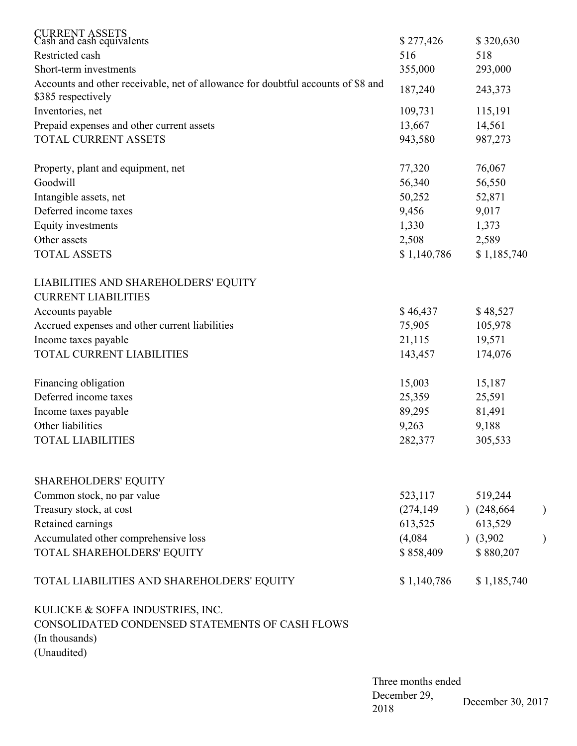| <b>CURRENT ASSETS</b><br>Cash and cash equivalents                                                     | \$277,426   | \$320,630   |  |
|--------------------------------------------------------------------------------------------------------|-------------|-------------|--|
| Restricted cash                                                                                        | 516         | 518         |  |
| Short-term investments                                                                                 | 355,000     | 293,000     |  |
| Accounts and other receivable, net of allowance for doubtful accounts of \$8 and<br>\$385 respectively | 187,240     | 243,373     |  |
| Inventories, net                                                                                       | 109,731     | 115,191     |  |
| Prepaid expenses and other current assets                                                              | 13,667      | 14,561      |  |
| <b>TOTAL CURRENT ASSETS</b>                                                                            | 943,580     | 987,273     |  |
| Property, plant and equipment, net                                                                     | 77,320      | 76,067      |  |
| Goodwill                                                                                               | 56,340      | 56,550      |  |
| Intangible assets, net                                                                                 | 50,252      | 52,871      |  |
| Deferred income taxes                                                                                  | 9,456       | 9,017       |  |
| Equity investments                                                                                     | 1,330       | 1,373       |  |
| Other assets                                                                                           | 2,508       | 2,589       |  |
| <b>TOTAL ASSETS</b>                                                                                    | \$1,140,786 | \$1,185,740 |  |
| LIABILITIES AND SHAREHOLDERS' EQUITY                                                                   |             |             |  |
| <b>CURRENT LIABILITIES</b>                                                                             |             |             |  |
| Accounts payable                                                                                       | \$46,437    | \$48,527    |  |
| Accrued expenses and other current liabilities                                                         | 75,905      | 105,978     |  |
| Income taxes payable                                                                                   | 21,115      | 19,571      |  |
| TOTAL CURRENT LIABILITIES                                                                              | 143,457     | 174,076     |  |
| Financing obligation                                                                                   | 15,003      | 15,187      |  |
| Deferred income taxes                                                                                  | 25,359      | 25,591      |  |
| Income taxes payable                                                                                   | 89,295      | 81,491      |  |
| Other liabilities                                                                                      | 9,263       | 9,188       |  |
| <b>TOTAL LIABILITIES</b>                                                                               | 282,377     | 305,533     |  |
| SHAREHOLDERS' EQUITY                                                                                   |             |             |  |
| Common stock, no par value                                                                             | 523,117     | 519,244     |  |
| Treasury stock, at cost                                                                                | (274, 149)  | (248, 664)  |  |
| Retained earnings                                                                                      | 613,525     | 613,529     |  |
| Accumulated other comprehensive loss                                                                   | (4,084)     | )(3,902)    |  |
| TOTAL SHAREHOLDERS' EQUITY                                                                             | \$858,409   | \$880,207   |  |
| TOTAL LIABILITIES AND SHAREHOLDERS' EQUITY                                                             | \$1,140,786 | \$1,185,740 |  |
| KULICKE & SOFFA INDUSTRIES, INC.                                                                       |             |             |  |
| CONSOLIDATED CONDENSED STATEMENTS OF CASH FLOWS                                                        |             |             |  |
| (In thousands)                                                                                         |             |             |  |
| (Unaudited)                                                                                            |             |             |  |
|                                                                                                        |             |             |  |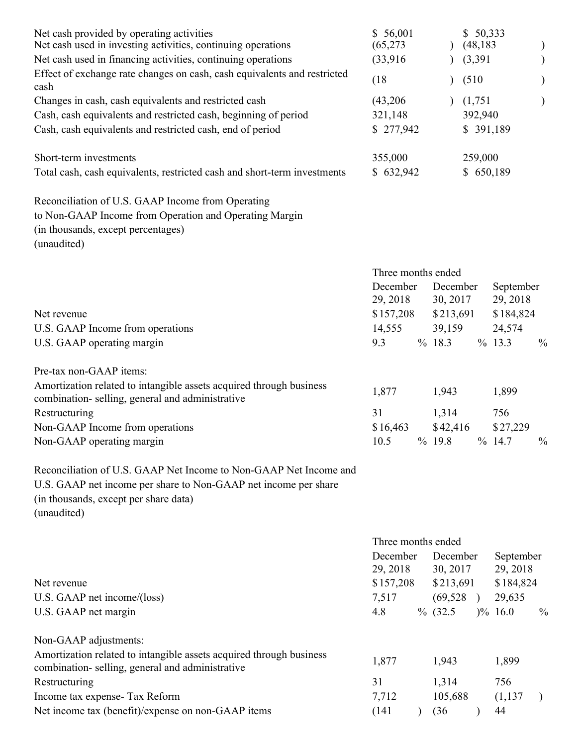| Income tax expense- Tax Reform<br>Net income tax (benefit)/expense on non-GAAP items                                                            | 7,712<br>(141)       |  | 105,688<br>(36)     |                    | (1, 137)<br>44 |               |
|-------------------------------------------------------------------------------------------------------------------------------------------------|----------------------|--|---------------------|--------------------|----------------|---------------|
| Restructuring                                                                                                                                   | 31                   |  | 1,314               |                    | 756            |               |
| Non-GAAP adjustments:<br>Amortization related to intangible assets acquired through business<br>combination-selling, general and administrative | 1,877                |  | 1,943               |                    | 1,899          |               |
| U.S. GAAP net margin                                                                                                                            | 4.8                  |  | $\%$ (32.5)         |                    | $)\%$ 16.0     | $\frac{0}{0}$ |
| U.S. GAAP net income/(loss)                                                                                                                     | 7,517                |  | (69, 528)           | $\lambda$          | 29,635         |               |
| Net revenue                                                                                                                                     | \$157,208            |  | \$213,691           |                    | \$184,824      |               |
|                                                                                                                                                 | December<br>29, 2018 |  | 30, 2017            |                    | 29, 2018       |               |
|                                                                                                                                                 |                      |  | December            |                    | September      |               |
|                                                                                                                                                 | Three months ended   |  |                     |                    |                |               |
| (unaudited)                                                                                                                                     |                      |  |                     |                    |                |               |
| (in thousands, except per share data)                                                                                                           |                      |  |                     |                    |                |               |
| U.S. GAAP net income per share to Non-GAAP net income per share                                                                                 |                      |  |                     |                    |                |               |
| Reconciliation of U.S. GAAP Net Income to Non-GAAP Net Income and                                                                               |                      |  |                     |                    |                |               |
| Non-GAAP operating margin                                                                                                                       | 10.5                 |  | % 19.8              |                    | $\%$ 14.7      | $\frac{0}{0}$ |
| Non-GAAP Income from operations                                                                                                                 | \$16,463             |  | \$42,416            |                    | \$27,229       |               |
| combination-selling, general and administrative<br>Restructuring                                                                                | 31                   |  | 1,314               |                    | 756            |               |
| Amortization related to intangible assets acquired through business                                                                             | 1,877                |  | 1,943               |                    | 1,899          |               |
| Pre-tax non-GAAP items:                                                                                                                         |                      |  |                     |                    |                |               |
| U.S. GAAP operating margin                                                                                                                      | 9.3                  |  |                     |                    | % 13.3         | $\frac{0}{0}$ |
| U.S. GAAP Income from operations                                                                                                                | 14,555               |  | 39,159<br>$\%$ 18.3 |                    | 24,574         |               |
| Net revenue                                                                                                                                     | \$157,208            |  | \$213,691           |                    | \$184,824      |               |
|                                                                                                                                                 | 29, 2018             |  | 30, 2017            |                    | 29, 2018       |               |
|                                                                                                                                                 | December             |  | December            |                    | September      |               |
|                                                                                                                                                 | Three months ended   |  |                     |                    |                |               |
| (unaudited)                                                                                                                                     |                      |  |                     |                    |                |               |
| (in thousands, except percentages)                                                                                                              |                      |  |                     |                    |                |               |
| to Non-GAAP Income from Operation and Operating Margin                                                                                          |                      |  |                     |                    |                |               |
| Reconciliation of U.S. GAAP Income from Operating                                                                                               |                      |  |                     |                    |                |               |
| Total cash, cash equivalents, restricted cash and short-term investments                                                                        | \$632,942            |  |                     |                    | \$650,189      |               |
| Short-term investments                                                                                                                          | 355,000              |  |                     | 259,000            |                |               |
|                                                                                                                                                 |                      |  |                     |                    |                |               |
| Cash, cash equivalents and restricted cash, end of period                                                                                       | \$277,942            |  |                     |                    | \$391,189      |               |
| Changes in cash, cash equivalents and restricted cash<br>Cash, cash equivalents and restricted cash, beginning of period                        | (43,206)<br>321,148  |  |                     | (1,751)<br>392,940 |                | $\mathcal{E}$ |
| cash                                                                                                                                            |                      |  |                     |                    |                |               |
| Effect of exchange rate changes on cash, cash equivalents and restricted                                                                        | (18)                 |  |                     | (510)              |                |               |
| Net cash used in financing activities, continuing operations                                                                                    | (33,916)             |  |                     | (3,391)            |                | $\mathcal{E}$ |
| Net cash used in investing activities, continuing operations                                                                                    | (65,273)             |  |                     | (48, 183)          |                |               |
| Net cash provided by operating activities                                                                                                       | \$56,001             |  |                     | \$50,333           |                |               |